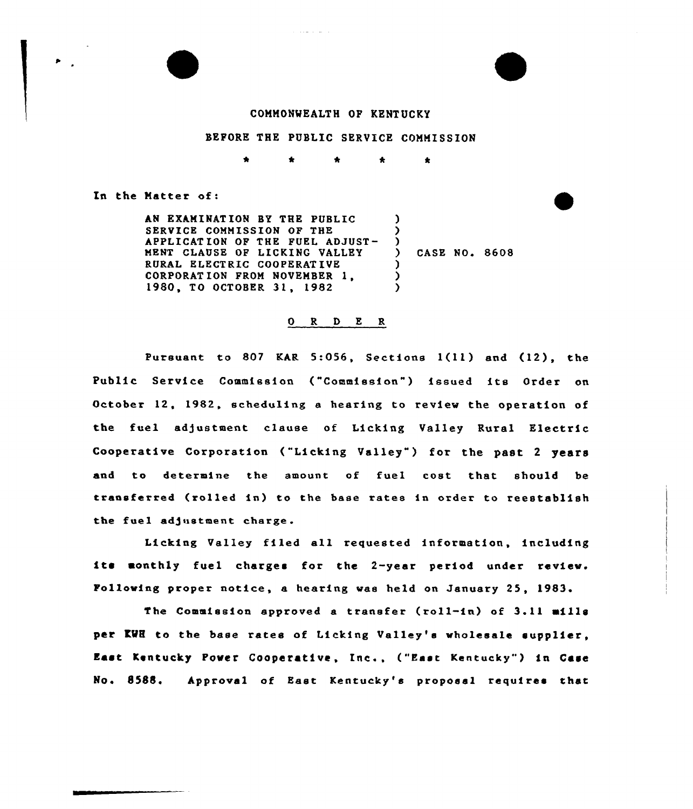#### COMMONWEALTH OF KENTUCKY

#### BEFORE THE PUBLIC SERVICE COMMISSION

 $\bullet$ 

 $\bullet$ 

In the Natter of:

AN EXAMINATION BY THE PUBLIC SERVICE COMMISSION OF THE APPLICATION OF THE FUEL ADJUST-MENT CLAUSE OF LICKING VALLEY RURAL ELECT RIC COOPERAT IVE CORPORATION FROM NOVEMBER 1, 1980, TO OCTOBER 31, 1982 ) ) ) ) CASE NO. 8608 ) ) )

## 0 R <sup>D</sup> E R

Pursuant to 807 KAR 5:056, Sections 1(11) and (12), the Public Service Commission ("Commission") issued its Order on October 12, 1982, scheduling a hearing to review the operation of the fuel adjustment clause of Licking Valley Rural Electric Cooperative Corporation ("Licking Valley") for the past 2 years and to determine the amount of fueI cost that should be transferred (rolled in) to the base rates in order to reestablish the fuel adjustment charge.

Licking Valley filed all requested information, including its monthly fuel charges for the 2-year period under review. Following proper notice, a hearing was held on January 25, 1983.

The Commission approved <sup>a</sup> transfer (roll-in) of 3.11 mills per KWH to the base rates of Licking Valley's wholesale supplier. East Kentucky Power Cooperative, Inc., ("East Kentucky" ) in Case No. 8588. Approval of East Kentucky's proposal requires that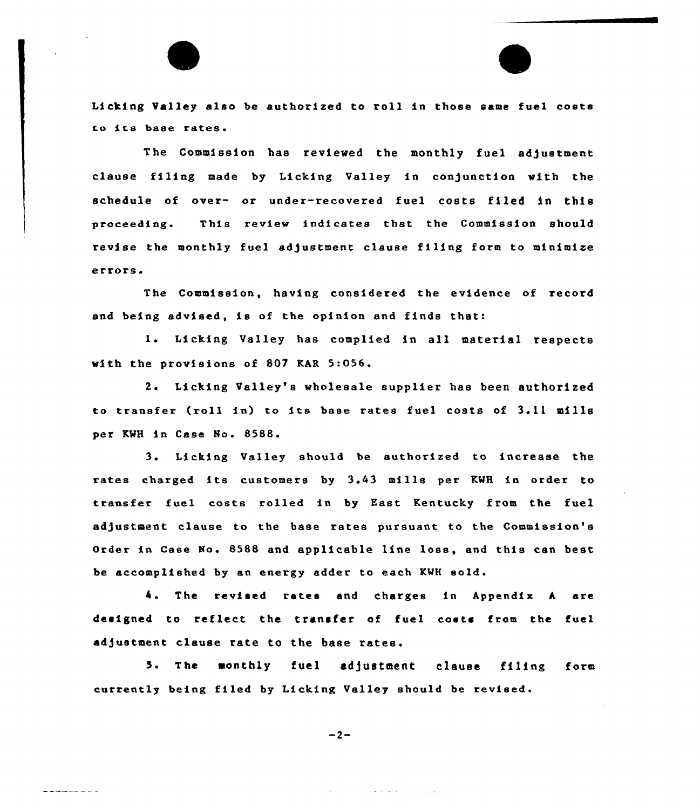Licking Valley also be authorized to roll in those same fuel costs to its base rates

The Commission has reviewed the monthly fuel adjustment clause filing made by Licking Valley in conjunction with the schedule of over- or under-recovered fuel costs filed in this proceeding. This review indicates that the Commission should revise the monthly fuel adjustment clause filing form to minimize errors.

The Commission, having considered the evidence of xecord and being advised, is of the opinion and finds that:

1. Licking Valley has complied in all material respects with the provisions of 807 KAR 5:056.

2. Licking Valley's wholesale supplier has been authorized to transfer (roll in) to its base rates fuel costs of 3.11 mills per KWH in Case No. 8588.

3. Licking Valley should be authoxized to increase the rates charged its customers by 3.43 mills per KWH in order to transfer fuel costs rolled in by East Kentucky from the fuel adjustment clause to the base xates pursuant to the Commission's Order in Case No. 8588 and applicable line loss, and this can best be accomplished by an energy adder to each KMH sold.

4. The revised rates end charges in Appendix A. are designed to reflect the transfer of fuel costs from the fuel adjustment clause rate to the base rates.

5. The monthly fuel adjustment clause filing form currently being filed by Licking Valley should be revised

 $-2-$ 

كالمالي والمتمالي والمرابين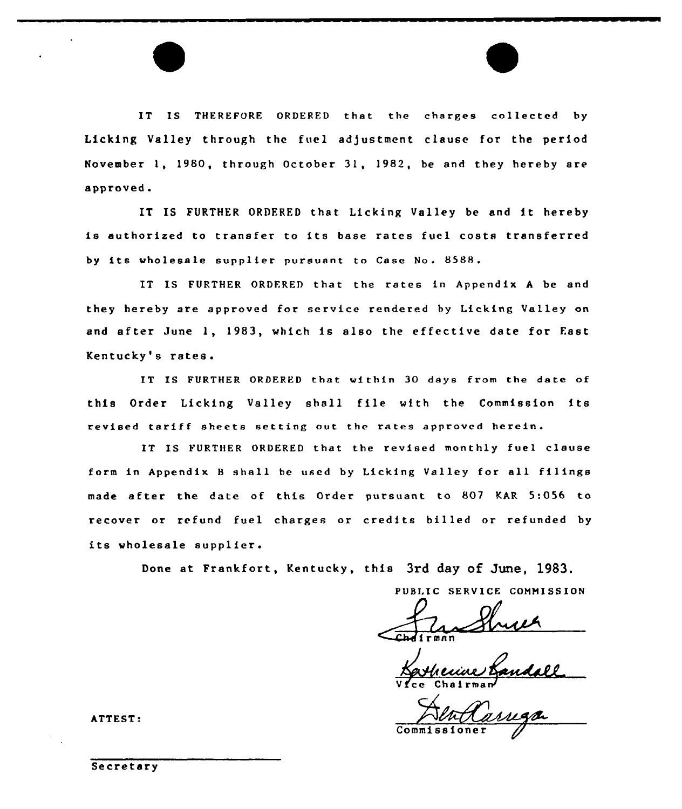IT IS THEREFORE ORDERED that the charges collected by Licking Valley through the fuel adjustment clause for the period November 1, 1980, through October 31, 1982, be and they hereby are approved.

IT IS FURTHER ORDFRED that Licking Valley be and it hereby is authorized to transfer to its base rates fuel costs transferred by its wholesale supplier pursuant to Case No. 8588.

IT IS FURTHER ORDFRED that the rates in Appendix <sup>A</sup> be and they hereby are approved for service rendered by Licking Valley on and after June 1, 1983, which is also the effective date for East Kentucky's rates.

IT IS FURTHER ORDERED that within 30 days from the date of this Order Licking Valley shall file with the Commission its revised tariff sheets setting out the rates approved herein.

IT IS FURTHER ORDERED that the revised monthly fuel clause form in Appendix <sup>B</sup> shall be used by Licking Valley for all filings made after the date of this Order pursuant to 807 KAR 5:056 to recover or refund fuel charges or credits billed or refunded by its wholesale supplier.

Done at Frankfort, Kentucky, this 3rd day of June, 1983.

PUBLIC SERVICE COMMISSION

 $\overline{\mathcal{L}}$ rmnn

Vfce Chairman

Commission

ATTEST:

Secretary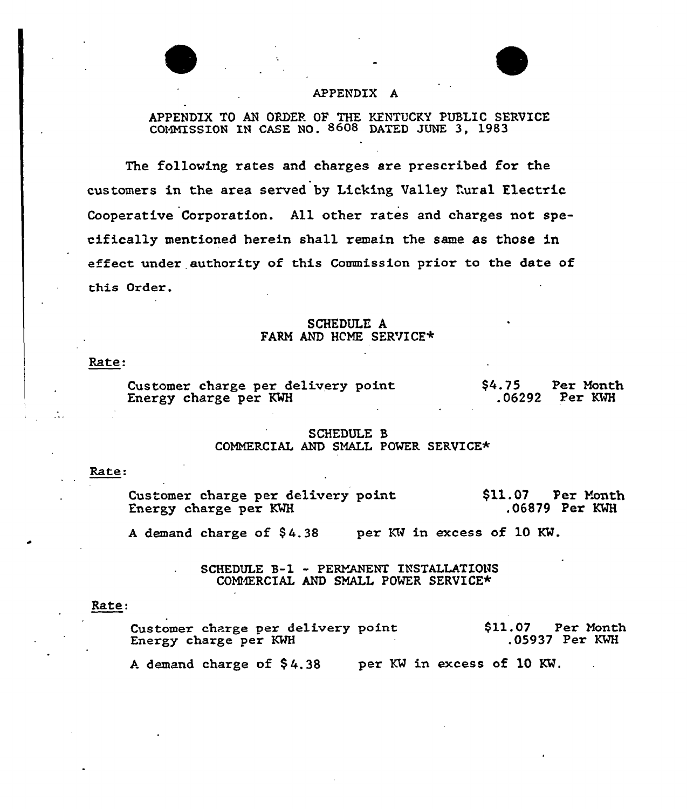# APPENDIX A

# APPENDIX TO AN ORDER OF THE KENTUCKY PUBLIC SERVICE COMMISSION IN CASE NG. 8608 DATED JUNE 3, 1983

The folloving rates and charges are prescribed for the customers in the area served by Licking Valley Rural Electric Cooperative Corporation. All other rates and charges not specifically mentioned herein shall remain the same as those in effect under authority of this Commission prior to the date of this Order.

# SCHEDULF. A FARM AND HCME SERVICE\*

Rate:

Customer charge per delivery point. Energy charge per KWH \$4.75 Per Month .06292 Per KWH

# SCHEDULE 8 COMMERCIAL AND SMALL POWER SERVICE\*

## Rate:

Customer charge per delivery point Energy charge per KWH \$11.07 Per Month .Oe879 Per KWH

A demand charge of  $$4.38$  per KW in excess of 10 KW.

SCHEDULE B-1 - PERYANENT INSTALLATIONS COMMERCIAL AND SMALL POWER SERVICE\*

### Rate:

Customer charge per delivery point Energy charge per KWH \$11.07 Per Month .05937 Per KWH

A demand charge of  $$4.38$  per KW in excess of 10 KW.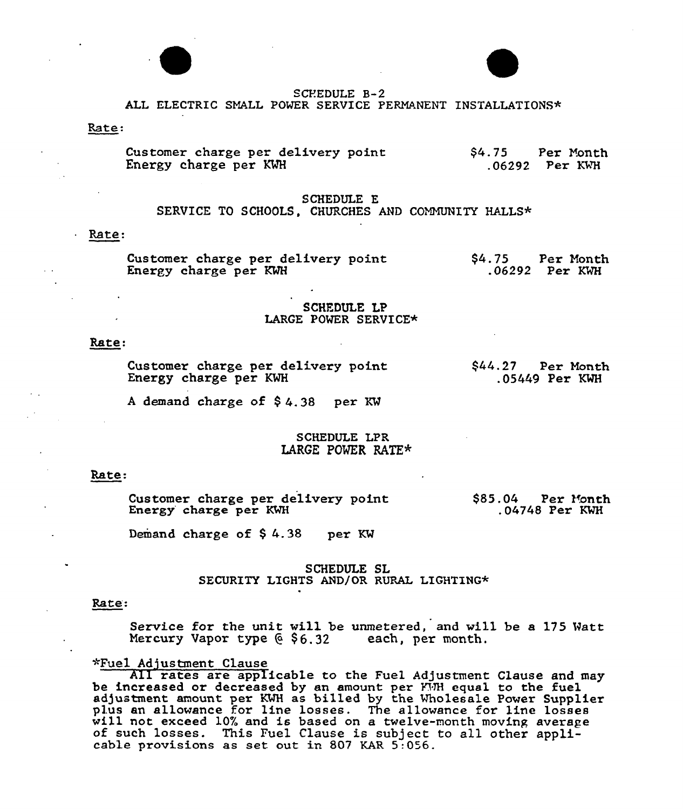



#### SCREDULE B-2

# ALL ELECTRIC SMALL POMER SERVICE PERMANENT INSTALLATIONS\*

## Rate:

Customer charge per delivery point Energy charge per M \$4. 75 Per Yanth .06292 Per M'H

## SCHEDULE E

SERVICE TO SCHOOLS. CHURCHES AND COMMUNITY HALLS\*

#### Rate:

Customer charge per delivery point Energy charge per KMH \$4.75 Per Month .06292 Per KMH

## SCHEDULE LP LARGE POMER SERVICE\*

#### Rate:

Customer charge per delivery point Energy charge per KWH

\$44.27 Per Month .05449 Per KWH

<sup>A</sup> demand charge of \$ 4.38 per KM

# SCHEDULE LPR LARGE POVER RATE\*

#### Rate.

Customer charge per delivery point<br>Energy charge per KWH  $$85.04$  Per Month .04748 Per KWH

Demand charge of \$4.38 per KW

# SCHEDULE SL SECURITY LIGHTS AND/OR RURAL LIGHTING\*

#### Rate:

Service for the unit will be unmetered, and will be a 175 Matt Mercury Vapor type  $6, 6, 32$  each, per month.

## ~Fuel Adjustment Clause

All rates are applicable to the Fuel Adjustment Clause and may be increased or decreased by an amount per FUH equal to the fuel be increased of decreased by an amount per limited at to the rue it plus an allowance for line losses. The allowance for line losses will not exceed 10% and is based on a twelve-month moving average of such losses. This Fuel Clause is subject to all other applicable provisions as set out i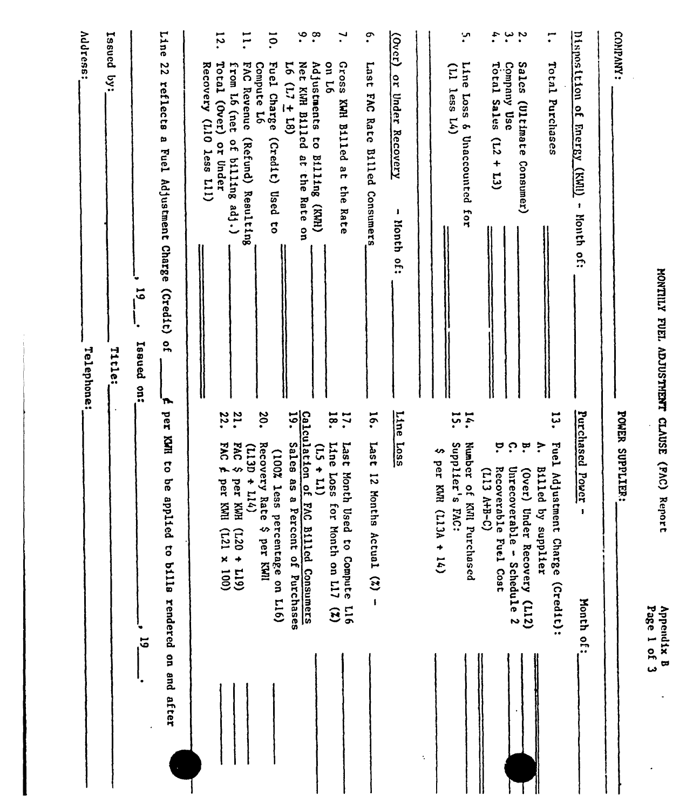| <b>ATILLAD'</b>   |
|-------------------|
|                   |
|                   |
|                   |
|                   |
|                   |
|                   |
|                   |
|                   |
| <b>FUEL</b>       |
|                   |
|                   |
|                   |
|                   |
|                   |
|                   |
|                   |
|                   |
| <b>ADJUSTHEMT</b> |
|                   |
|                   |
|                   |
|                   |
|                   |
|                   |
|                   |
| <b>CLAUSE</b>     |
|                   |
|                   |
|                   |
|                   |
|                   |
| C <sub>N</sub>    |
|                   |
|                   |
|                   |
|                   |
|                   |
| deport            |
|                   |
|                   |
|                   |
|                   |
|                   |
|                   |

n<br>N<br>Str

| MONTILY FUEL ADJUSTMENT CLAUSE (FAC) Report                                                                                    |                                                                                                                        | Page 1 of 3<br>Appendix B |
|--------------------------------------------------------------------------------------------------------------------------------|------------------------------------------------------------------------------------------------------------------------|---------------------------|
| COMPANY:                                                                                                                       | POWER SUPPLIER:                                                                                                        |                           |
| Disposition of Energy (KWI)<br>- Month ou                                                                                      | Purchased Power<br>1                                                                                                   | <b>Nonth of:</b>          |
| $\mathbf{C}$<br>Total Purclases                                                                                                | با<br>ئا<br>Fuel Adjustment Charge (Credit):<br>$\ddot{\cdot}$<br><b>B111ed</b><br>by supplier                         |                           |
| un't.<br><b>Sales</b><br>Company Use<br>(Ultimate<br>Consumer)                                                                 | ှ<br>$\ddot{a}$<br>Unrecoverable - Schedule 2<br>(Over)<br>Under Recovery (L12)                                        |                           |
| Total Sales<br>$\tilde{L}$<br>$+13)$                                                                                           | ဗ<br>Recoverable Fuel Cost<br>(213 A+B-C)                                                                              |                           |
| ِسٍ<br>Line Loss & Unaccounted for<br>$(11)$ less $14)$                                                                        | 14.<br>Supplier's<br>Number of KMI Purchased<br><b>PAC:</b>                                                            |                           |
|                                                                                                                                | ↭<br>per KWH<br>$(113A + 14)$                                                                                          | ۰.                        |
| $\frac{(\text{10} \text{C})}{\text{20} \cdot \text{C}}$<br>$\frac{1}{2}$<br><b>Under Recovery</b><br>$\mathbf{I}$<br>Month of: | Line<br>$\frac{1.085}{2}$                                                                                              |                           |
| $\cdot$<br>1ser <sub>1</sub><br>FAC Rate Billed Consumers                                                                      | $\overline{5}$<br><b>Last</b><br>12 Months Actual $(2)$ -                                                              |                           |
| $\mathbf{r}$<br>97 uo<br>Gross<br>KWH Billed at the Rate                                                                       | 18.<br>:21<br>Line<br>1ser <sub>I</sub><br>5307<br>Month<br>for Month on L17<br>Used to Compute<br>917<br>$\mathbf{r}$ |                           |
| $\ddot{\bm{c}}$<br>$\cdot^{\circ}$<br>Net KI/H B111ed<br>Adjustments to<br>Sulling (KWI)<br>at the Rate on                     | Calculation of FAC Billed Consumers<br>$\frac{1}{2}$<br><b>Sales</b><br>$(11 + 51)$<br>8 SB<br>Percent of Purchases    |                           |
| ō.<br>Fuel Charge<br>$16(17 \pm 18)$<br>Compute I6<br>(Credit) Used to                                                         | 30.<br>Recovery Rate \$ per KWI<br>(100% less<br>percentage on L16)                                                    |                           |
| $\overline{1}$<br><b>FAC Revenue</b><br>from L6 (net<br>(Refund) Resulting<br>of billing adj.)                                 | FAC \$ per KWH (L20 + L19)<br>$(113D + 114)$                                                                           |                           |
| 12.<br>Recovery (L10 less L11)<br>Total (Over) or Under                                                                        | 21.<br>22.<br>FAC £<br>per KMI (L21 x 100)                                                                             |                           |
| Line<br>22<br>reflects a Fuel Adjustment Charge (Credit)<br>$\frac{1}{2}$<br>'n                                                | per KMH to be applied to bills rendered on and after                                                                   |                           |
| $\overline{5}$<br>Issued<br>$\frac{3}{2}$                                                                                      |                                                                                                                        | $\overline{5}$            |
| Issued by:<br>Title:                                                                                                           |                                                                                                                        |                           |
| <b>Address:</b><br>Telephone:                                                                                                  |                                                                                                                        |                           |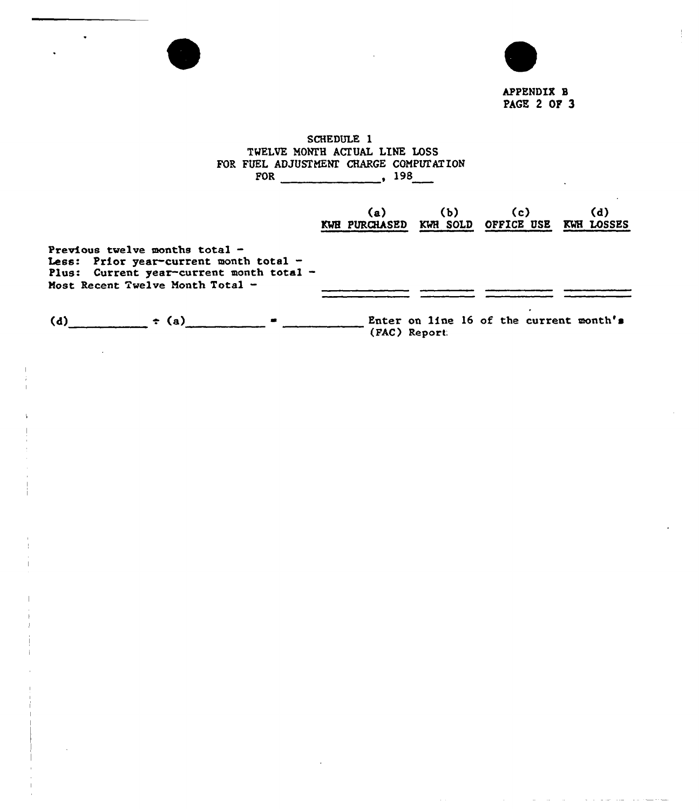

APPENDIX B PAGE 2 OF 3

# SCHEDULE 1 TWELVE MONTH ACTUAL LINE LOSS FOR FUEL ADJUSTMENT CHARGE COMPUTATION FOR 198 (a) (b) (c) (d) KWH PURCHASED KWH SOLD OFFICE USE KWH LOSSES Previous twelve months total -Less: Prior year-current month total -Plus: Current year-current month total -Most Recent Twelve Month Total -(d)  $\qquad \qquad \qquad \bullet$  (a)  $\qquad \qquad \bullet$  Enter on line 16 of the current wonth's (FAC) Report